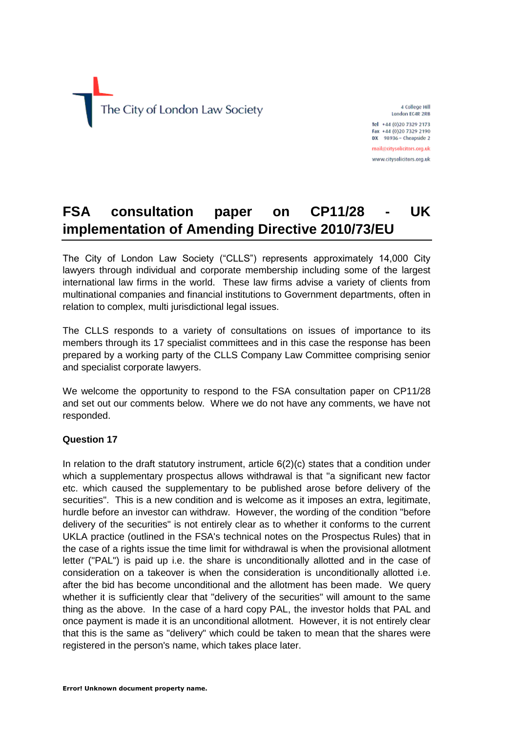

4 College Hill London EC4R 2RB Tel +44 (0)20 7329 2173

Fax +44 (0)20 7329 2190 DX 98936 - Cheapside 2 mail@citysolicitors.org.uk

www.citysolicitors.org.uk

# **FSA consultation paper on CP11/28 - UK implementation of Amending Directive 2010/73/EU**

The City of London Law Society ("CLLS") represents approximately 14,000 City lawyers through individual and corporate membership including some of the largest international law firms in the world. These law firms advise a variety of clients from multinational companies and financial institutions to Government departments, often in relation to complex, multi jurisdictional legal issues.

The CLLS responds to a variety of consultations on issues of importance to its members through its 17 specialist committees and in this case the response has been prepared by a working party of the CLLS Company Law Committee comprising senior and specialist corporate lawyers.

We welcome the opportunity to respond to the FSA consultation paper on CP11/28 and set out our comments below. Where we do not have any comments, we have not responded.

## **Question 17**

In relation to the draft statutory instrument, article 6(2)(c) states that a condition under which a supplementary prospectus allows withdrawal is that "a significant new factor etc. which caused the supplementary to be published arose before delivery of the securities". This is a new condition and is welcome as it imposes an extra, legitimate, hurdle before an investor can withdraw. However, the wording of the condition "before delivery of the securities" is not entirely clear as to whether it conforms to the current UKLA practice (outlined in the FSA's technical notes on the Prospectus Rules) that in the case of a rights issue the time limit for withdrawal is when the provisional allotment letter ("PAL") is paid up i.e. the share is unconditionally allotted and in the case of consideration on a takeover is when the consideration is unconditionally allotted i.e. after the bid has become unconditional and the allotment has been made. We query whether it is sufficiently clear that "delivery of the securities" will amount to the same thing as the above. In the case of a hard copy PAL, the investor holds that PAL and once payment is made it is an unconditional allotment. However, it is not entirely clear that this is the same as "delivery" which could be taken to mean that the shares were registered in the person's name, which takes place later.